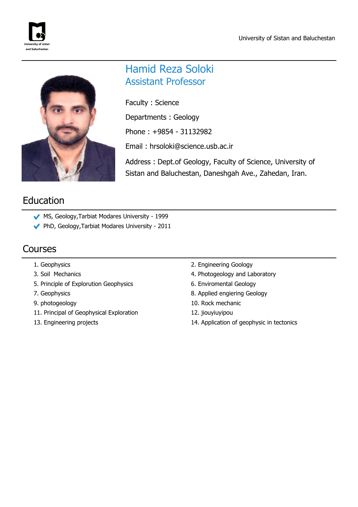



## Hamid Reza Soloki Assistant Professor

Faculty : Science

Departments : Geology

Phone : +9854 - 31132982

Email : hrsoloki@science.usb.ac.ir

Address : Dept.of Geology, Faculty of Science, University of Sistan and Baluchestan, Daneshgah Ave., Zahedan, Iran.

# Education

- MS, Geology,Tarbiat Modares University 1999
- PhD, Geology,Tarbiat Modares University 2011

## Courses

- 
- 
- 5. Principle of Explorution Geophysics 6. Enviromental Geology
- 
- 
- 11. Principal of Geophysical Exploration 12. jiouyiuyipou
- 
- 1. Geophysics 2. Engineering Goology
- 3. Soil Mechanics **4. Photogeology and Laboratory** 
	-
- 7. Geophysics 8. Applied engiering Geology
- 9. photogeology 10. Rock mechanic
	-
- 13. Engineering projects 14. Application of geophysic in tectonics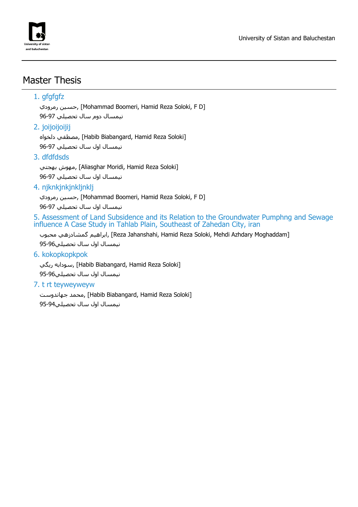

## Master Thesis

#### 1. gfgfgfz

رمرودي حسين,] Mohammad Boomeri, Hamid Reza Soloki, F D] نيمسال دوم سال تحصيلي 96-97

#### 2. joijoijoijij

مصطفي دلخواه, [Habib Biabangard, Hamid Reza Soloki] نيمسال اول سال تحصيلي 96-97

#### 3. dfdfdsds

مهوش بهجتي, [Aliasghar Moridi, Hamid Reza Soloki] نيمسال اول سال تحصيلي 96-97

#### 4. njknkjnkjnkljnklj

رمرودي حسين,] Mohammad Boomeri, Hamid Reza Soloki, F D] نيمسال اول سال تحصيلي 96-97

5. Assessment of Land Subsidence and its Relation to the Groundwater Pumphng and Sewage influence A Case Study in Tahlab Plain, Southeast of Zahedan City, iran

براهيم گمشادزهي محبوب, [Reza Jahanshahi, Hamid Reza Soloki, Mehdi Azhdary Moghaddam] نيمسال اول سال تحصيلي95-96

#### 6. kokopkopkpok

سودابه ريگي, [Habib Biabangard, Hamid Reza Soloki]

نيمسال اول سال تحصيلي95-96

#### 7. t rt teyweyweyw

محمد جهاندوست, [Habib Biabangard, Hamid Reza Soloki] نيمسال اول سال تحصيلي95-94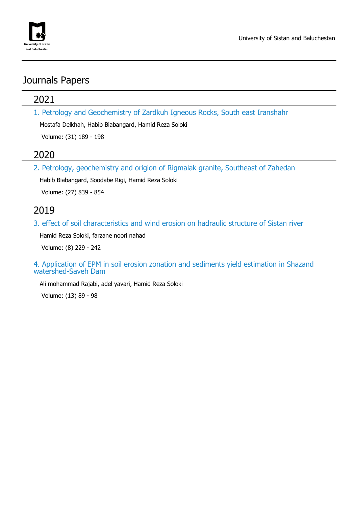

## Journals Papers

### 2021

1. Petrology and Geochemistry of Zardkuh Igneous Rocks, South east Iranshahr

Mostafa Delkhah, Habib Biabangard, Hamid Reza Soloki

Volume: (31) 189 - 198

### 2020

2. Petrology, geochemistry and origion of Rigmalak granite, Southeast of Zahedan

Habib Biabangard, Soodabe Rigi, Hamid Reza Soloki

Volume: (27) 839 - 854

### 2019

3. effect of soil characteristics and wind erosion on hadraulic structure of Sistan river

Hamid Reza Soloki, farzane noori nahad

Volume: (8) 229 - 242

4. Application of EPM in soil erosion zonation and sediments yield estimation in Shazand watershed-Saveh Dam

Ali mohammad Rajabi, adel yavari, Hamid Reza Soloki

Volume: (13) 89 - 98